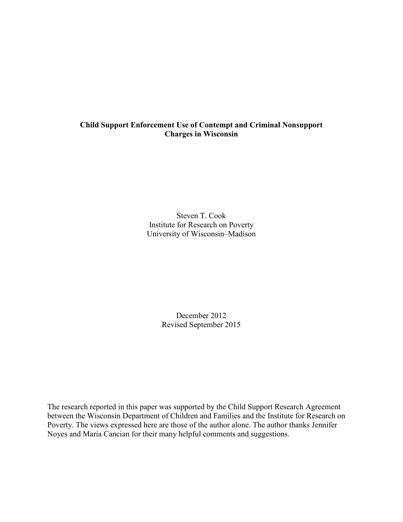# **Child Support Enforcement Use of Contempt and Criminal Nonsupport Charges in Wisconsin**

Steven T. Cook Institute for Research on Poverty University of Wisconsin–Madison

> December 2012 Revised September 2015

The research reported in this paper was supported by the Child Support Research Agreement between the Wisconsin Department of Children and Families and the Institute for Research on Poverty. The views expressed here are those of the author alone. The author thanks Jennifer Noyes and Maria Cancian for their many helpful comments and suggestions.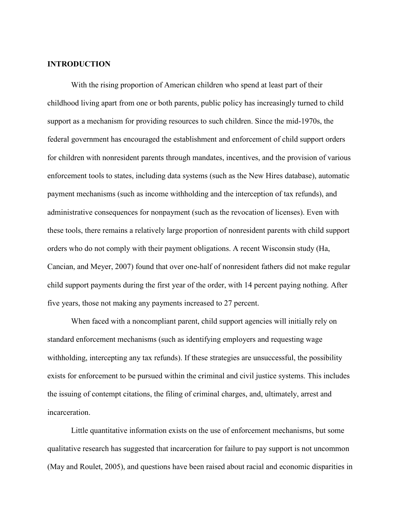## **INTRODUCTION**

With the rising proportion of American children who spend at least part of their childhood living apart from one or both parents, public policy has increasingly turned to child support as a mechanism for providing resources to such children. Since the mid-1970s, the federal government has encouraged the establishment and enforcement of child support orders for children with nonresident parents through mandates, incentives, and the provision of various enforcement tools to states, including data systems (such as the New Hires database), automatic payment mechanisms (such as income withholding and the interception of tax refunds), and administrative consequences for nonpayment (such as the revocation of licenses). Even with these tools, there remains a relatively large proportion of nonresident parents with child support orders who do not comply with their payment obligations. A recent Wisconsin study (Ha, Cancian, and Meyer, 2007) found that over one-half of nonresident fathers did not make regular child support payments during the first year of the order, with 14 percent paying nothing. After five years, those not making any payments increased to 27 percent.

When faced with a noncompliant parent, child support agencies will initially rely on standard enforcement mechanisms (such as identifying employers and requesting wage withholding, intercepting any tax refunds). If these strategies are unsuccessful, the possibility exists for enforcement to be pursued within the criminal and civil justice systems. This includes the issuing of contempt citations, the filing of criminal charges, and, ultimately, arrest and incarceration.

Little quantitative information exists on the use of enforcement mechanisms, but some qualitative research has suggested that incarceration for failure to pay support is not uncommon (May and Roulet, 2005), and questions have been raised about racial and economic disparities in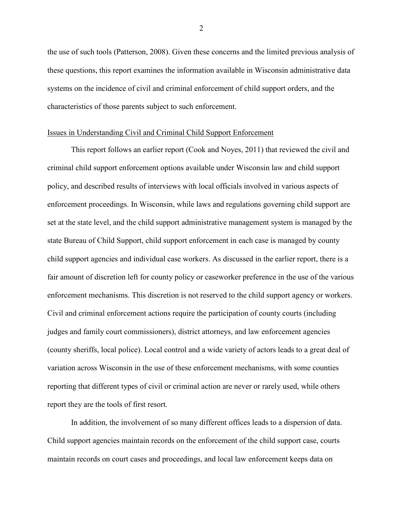the use of such tools (Patterson, 2008). Given these concerns and the limited previous analysis of these questions, this report examines the information available in Wisconsin administrative data systems on the incidence of civil and criminal enforcement of child support orders, and the characteristics of those parents subject to such enforcement.

### Issues in Understanding Civil and Criminal Child Support Enforcement

This report follows an earlier report (Cook and Noyes, 2011) that reviewed the civil and criminal child support enforcement options available under Wisconsin law and child support policy, and described results of interviews with local officials involved in various aspects of enforcement proceedings. In Wisconsin, while laws and regulations governing child support are set at the state level, and the child support administrative management system is managed by the state Bureau of Child Support, child support enforcement in each case is managed by county child support agencies and individual case workers. As discussed in the earlier report, there is a fair amount of discretion left for county policy or caseworker preference in the use of the various enforcement mechanisms. This discretion is not reserved to the child support agency or workers. Civil and criminal enforcement actions require the participation of county courts (including judges and family court commissioners), district attorneys, and law enforcement agencies (county sheriffs, local police). Local control and a wide variety of actors leads to a great deal of variation across Wisconsin in the use of these enforcement mechanisms, with some counties reporting that different types of civil or criminal action are never or rarely used, while others report they are the tools of first resort.

In addition, the involvement of so many different offices leads to a dispersion of data. Child support agencies maintain records on the enforcement of the child support case, courts maintain records on court cases and proceedings, and local law enforcement keeps data on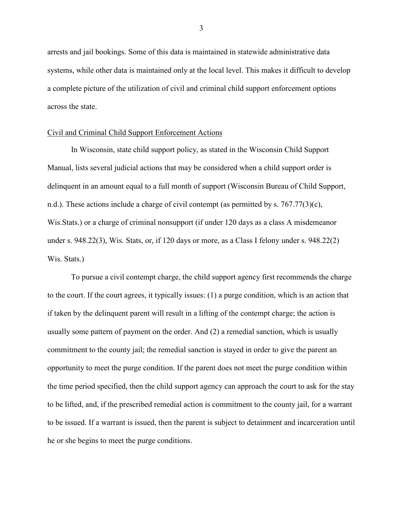arrests and jail bookings. Some of this data is maintained in statewide administrative data systems, while other data is maintained only at the local level. This makes it difficult to develop a complete picture of the utilization of civil and criminal child support enforcement options across the state.

#### Civil and Criminal Child Support Enforcement Actions

In Wisconsin, state child support policy, as stated in the Wisconsin Child Support Manual, lists several judicial actions that may be considered when a child support order is delinquent in an amount equal to a full month of support (Wisconsin Bureau of Child Support, n.d.). These actions include a charge of civil contempt (as permitted by s. 767.77(3)(c), Wis.Stats.) or a charge of criminal nonsupport (if under 120 days as a class A misdemeanor under s. 948.22(3), Wis. Stats, or, if 120 days or more, as a Class I felony under s. 948.22(2) Wis. Stats.)

To pursue a civil contempt charge, the child support agency first recommends the charge to the court. If the court agrees, it typically issues: (1) a purge condition, which is an action that if taken by the delinquent parent will result in a lifting of the contempt charge; the action is usually some pattern of payment on the order. And (2) a remedial sanction, which is usually commitment to the county jail; the remedial sanction is stayed in order to give the parent an opportunity to meet the purge condition. If the parent does not meet the purge condition within the time period specified, then the child support agency can approach the court to ask for the stay to be lifted, and, if the prescribed remedial action is commitment to the county jail, for a warrant to be issued. If a warrant is issued, then the parent is subject to detainment and incarceration until he or she begins to meet the purge conditions.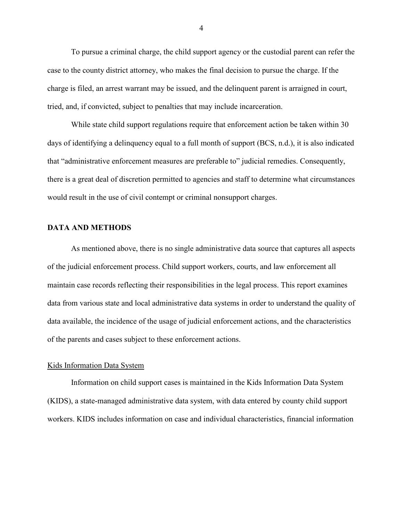To pursue a criminal charge, the child support agency or the custodial parent can refer the case to the county district attorney, who makes the final decision to pursue the charge. If the charge is filed, an arrest warrant may be issued, and the delinquent parent is arraigned in court, tried, and, if convicted, subject to penalties that may include incarceration.

While state child support regulations require that enforcement action be taken within 30 days of identifying a delinquency equal to a full month of support (BCS, n.d.), it is also indicated that "administrative enforcement measures are preferable to" judicial remedies. Consequently, there is a great deal of discretion permitted to agencies and staff to determine what circumstances would result in the use of civil contempt or criminal nonsupport charges.

# **DATA AND METHODS**

As mentioned above, there is no single administrative data source that captures all aspects of the judicial enforcement process. Child support workers, courts, and law enforcement all maintain case records reflecting their responsibilities in the legal process. This report examines data from various state and local administrative data systems in order to understand the quality of data available, the incidence of the usage of judicial enforcement actions, and the characteristics of the parents and cases subject to these enforcement actions.

### Kids Information Data System

Information on child support cases is maintained in the Kids Information Data System (KIDS), a state-managed administrative data system, with data entered by county child support workers. KIDS includes information on case and individual characteristics, financial information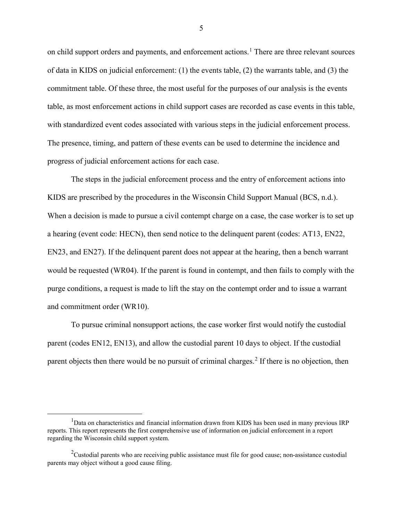on child support orders and payments, and enforcement actions.<sup>[1](#page-5-0)</sup> There are three relevant sources of data in KIDS on judicial enforcement: (1) the events table, (2) the warrants table, and (3) the commitment table. Of these three, the most useful for the purposes of our analysis is the events table, as most enforcement actions in child support cases are recorded as case events in this table, with standardized event codes associated with various steps in the judicial enforcement process. The presence, timing, and pattern of these events can be used to determine the incidence and progress of judicial enforcement actions for each case.

The steps in the judicial enforcement process and the entry of enforcement actions into KIDS are prescribed by the procedures in the Wisconsin Child Support Manual (BCS, n.d.). When a decision is made to pursue a civil contempt charge on a case, the case worker is to set up a hearing (event code: HECN), then send notice to the delinquent parent (codes: AT13, EN22, EN23, and EN27). If the delinquent parent does not appear at the hearing, then a bench warrant would be requested (WR04). If the parent is found in contempt, and then fails to comply with the purge conditions, a request is made to lift the stay on the contempt order and to issue a warrant and commitment order (WR10).

To pursue criminal nonsupport actions, the case worker first would notify the custodial parent (codes EN12, EN13), and allow the custodial parent 10 days to object. If the custodial parent objects then there would be no pursuit of criminal charges.<sup>[2](#page-5-1)</sup> If there is no objection, then

<span id="page-5-0"></span><sup>&</sup>lt;u>1</u> <sup>1</sup>Data on characteristics and financial information drawn from KIDS has been used in many previous IRP reports. This report represents the first comprehensive use of information on judicial enforcement in a report regarding the Wisconsin child support system.

<span id="page-5-1"></span> $2$ Custodial parents who are receiving public assistance must file for good cause; non-assistance custodial parents may object without a good cause filing.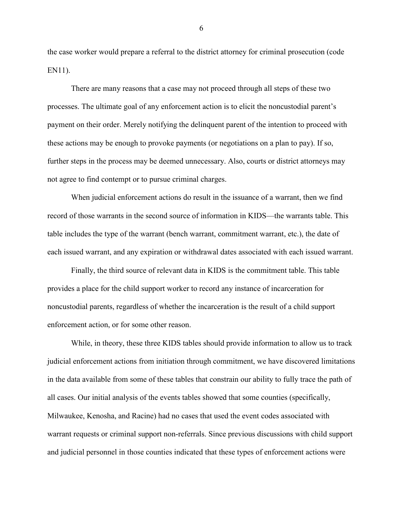the case worker would prepare a referral to the district attorney for criminal prosecution (code EN11).

There are many reasons that a case may not proceed through all steps of these two processes. The ultimate goal of any enforcement action is to elicit the noncustodial parent's payment on their order. Merely notifying the delinquent parent of the intention to proceed with these actions may be enough to provoke payments (or negotiations on a plan to pay). If so, further steps in the process may be deemed unnecessary. Also, courts or district attorneys may not agree to find contempt or to pursue criminal charges.

When judicial enforcement actions do result in the issuance of a warrant, then we find record of those warrants in the second source of information in KIDS—the warrants table. This table includes the type of the warrant (bench warrant, commitment warrant, etc.), the date of each issued warrant, and any expiration or withdrawal dates associated with each issued warrant.

Finally, the third source of relevant data in KIDS is the commitment table. This table provides a place for the child support worker to record any instance of incarceration for noncustodial parents, regardless of whether the incarceration is the result of a child support enforcement action, or for some other reason.

While, in theory, these three KIDS tables should provide information to allow us to track judicial enforcement actions from initiation through commitment, we have discovered limitations in the data available from some of these tables that constrain our ability to fully trace the path of all cases. Our initial analysis of the events tables showed that some counties (specifically, Milwaukee, Kenosha, and Racine) had no cases that used the event codes associated with warrant requests or criminal support non-referrals. Since previous discussions with child support and judicial personnel in those counties indicated that these types of enforcement actions were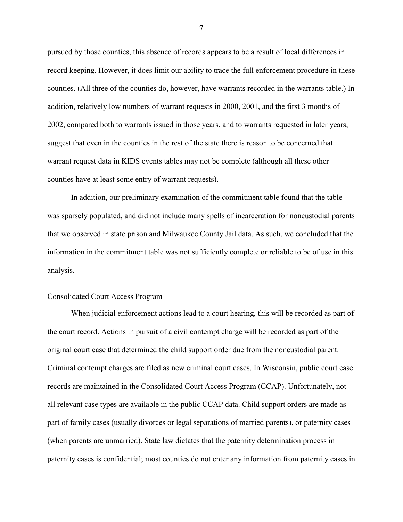pursued by those counties, this absence of records appears to be a result of local differences in record keeping. However, it does limit our ability to trace the full enforcement procedure in these counties. (All three of the counties do, however, have warrants recorded in the warrants table.) In addition, relatively low numbers of warrant requests in 2000, 2001, and the first 3 months of 2002, compared both to warrants issued in those years, and to warrants requested in later years, suggest that even in the counties in the rest of the state there is reason to be concerned that warrant request data in KIDS events tables may not be complete (although all these other counties have at least some entry of warrant requests).

In addition, our preliminary examination of the commitment table found that the table was sparsely populated, and did not include many spells of incarceration for noncustodial parents that we observed in state prison and Milwaukee County Jail data. As such, we concluded that the information in the commitment table was not sufficiently complete or reliable to be of use in this analysis.

## Consolidated Court Access Program

When judicial enforcement actions lead to a court hearing, this will be recorded as part of the court record. Actions in pursuit of a civil contempt charge will be recorded as part of the original court case that determined the child support order due from the noncustodial parent. Criminal contempt charges are filed as new criminal court cases. In Wisconsin, public court case records are maintained in the Consolidated Court Access Program (CCAP). Unfortunately, not all relevant case types are available in the public CCAP data. Child support orders are made as part of family cases (usually divorces or legal separations of married parents), or paternity cases (when parents are unmarried). State law dictates that the paternity determination process in paternity cases is confidential; most counties do not enter any information from paternity cases in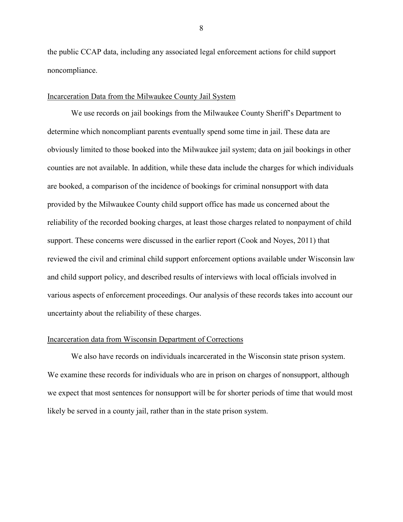the public CCAP data, including any associated legal enforcement actions for child support noncompliance.

# Incarceration Data from the Milwaukee County Jail System

We use records on jail bookings from the Milwaukee County Sheriff's Department to determine which noncompliant parents eventually spend some time in jail. These data are obviously limited to those booked into the Milwaukee jail system; data on jail bookings in other counties are not available. In addition, while these data include the charges for which individuals are booked, a comparison of the incidence of bookings for criminal nonsupport with data provided by the Milwaukee County child support office has made us concerned about the reliability of the recorded booking charges, at least those charges related to nonpayment of child support. These concerns were discussed in the earlier report (Cook and Noyes, 2011) that reviewed the civil and criminal child support enforcement options available under Wisconsin law and child support policy, and described results of interviews with local officials involved in various aspects of enforcement proceedings. Our analysis of these records takes into account our uncertainty about the reliability of these charges.

### Incarceration data from Wisconsin Department of Corrections

We also have records on individuals incarcerated in the Wisconsin state prison system. We examine these records for individuals who are in prison on charges of nonsupport, although we expect that most sentences for nonsupport will be for shorter periods of time that would most likely be served in a county jail, rather than in the state prison system.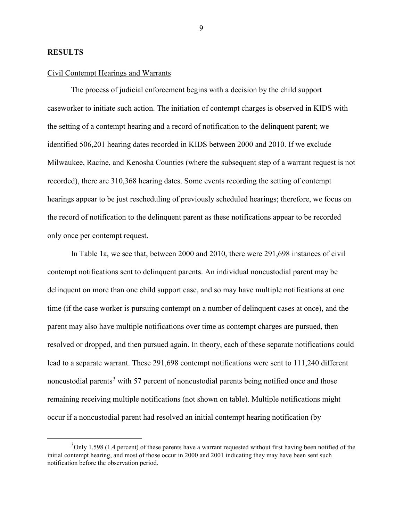## **RESULTS**

# Civil Contempt Hearings and Warrants

The process of judicial enforcement begins with a decision by the child support caseworker to initiate such action. The initiation of contempt charges is observed in KIDS with the setting of a contempt hearing and a record of notification to the delinquent parent; we identified 506,201 hearing dates recorded in KIDS between 2000 and 2010. If we exclude Milwaukee, Racine, and Kenosha Counties (where the subsequent step of a warrant request is not recorded), there are 310,368 hearing dates. Some events recording the setting of contempt hearings appear to be just rescheduling of previously scheduled hearings; therefore, we focus on the record of notification to the delinquent parent as these notifications appear to be recorded only once per contempt request.

In Table 1a, we see that, between 2000 and 2010, there were 291,698 instances of civil contempt notifications sent to delinquent parents. An individual noncustodial parent may be delinquent on more than one child support case, and so may have multiple notifications at one time (if the case worker is pursuing contempt on a number of delinquent cases at once), and the parent may also have multiple notifications over time as contempt charges are pursued, then resolved or dropped, and then pursued again. In theory, each of these separate notifications could lead to a separate warrant. These 291,698 contempt notifications were sent to 111,240 different noncustodial parents<sup>[3](#page-9-0)</sup> with 57 percent of noncustodial parents being notified once and those remaining receiving multiple notifications (not shown on table). Multiple notifications might occur if a noncustodial parent had resolved an initial contempt hearing notification (by

<span id="page-9-0"></span> $\frac{1}{3}$  $3$ Only 1,598 (1.4 percent) of these parents have a warrant requested without first having been notified of the initial contempt hearing, and most of those occur in 2000 and 2001 indicating they may have been sent such notification before the observation period.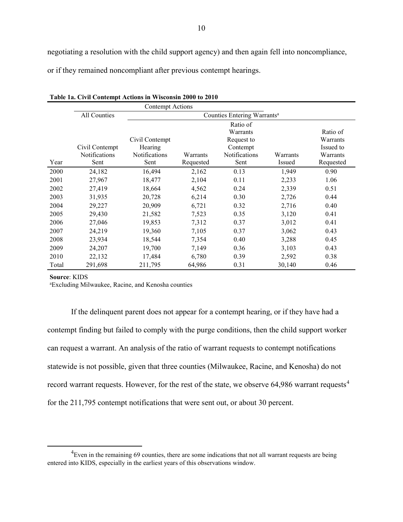negotiating a resolution with the child support agency) and then again fell into noncompliance, or if they remained noncompliant after previous contempt hearings.

|       |                      | Contempt Actions |                                         |               |          |           |  |  |  |
|-------|----------------------|------------------|-----------------------------------------|---------------|----------|-----------|--|--|--|
|       | All Counties         |                  | Counties Entering Warrants <sup>a</sup> |               |          |           |  |  |  |
|       |                      |                  | Ratio of                                |               |          |           |  |  |  |
|       |                      |                  |                                         | Warrants      |          | Ratio of  |  |  |  |
|       |                      | Civil Contempt   |                                         | Request to    |          | Warrants  |  |  |  |
|       | Civil Contempt       | Hearing          |                                         | Contempt      |          | Issued to |  |  |  |
|       | <b>Notifications</b> | Notifications    | Warrants                                | Notifications | Warrants | Warrants  |  |  |  |
| Year  | Sent                 | Sent             | Requested                               | Sent          | Issued   | Requested |  |  |  |
| 2000  | 24,182               | 16,494           | 2,162                                   | 0.13          | 1,949    | 0.90      |  |  |  |
| 2001  | 27,967               | 18,477           | 2,104                                   | 0.11          | 2,233    | 1.06      |  |  |  |
| 2002  | 27,419               | 18,664           | 4,562                                   | 0.24          | 2,339    | 0.51      |  |  |  |
| 2003  | 31,935               | 20,728           | 6,214                                   | 0.30          | 2,726    | 0.44      |  |  |  |
| 2004  | 29,227               | 20,909           | 6,721                                   | 0.32          | 2,716    | 0.40      |  |  |  |
| 2005  | 29,430               | 21,582           | 7,523                                   | 0.35          | 3,120    | 0.41      |  |  |  |
| 2006  | 27,046               | 19,853           | 7,312                                   | 0.37          | 3,012    | 0.41      |  |  |  |
| 2007  | 24,219               | 19,360           | 7,105                                   | 0.37          | 3,062    | 0.43      |  |  |  |
| 2008  | 23,934               | 18,544           | 7,354                                   | 0.40          | 3,288    | 0.45      |  |  |  |
| 2009  | 24,207               | 19,700           | 7,149                                   | 0.36          | 3,103    | 0.43      |  |  |  |
| 2010  | 22,132               | 17,484           | 6,780                                   | 0.39          | 2,592    | 0.38      |  |  |  |
| Total | 291,698              | 211,795          | 64,986                                  | 0.31          | 30,140   | 0.46      |  |  |  |

**Table 1a. Civil Contempt Actions in Wisconsin 2000 to 2010**

**Source**: KIDS

a Excluding Milwaukee, Racine, and Kenosha counties

If the delinquent parent does not appear for a contempt hearing, or if they have had a contempt finding but failed to comply with the purge conditions, then the child support worker can request a warrant. An analysis of the ratio of warrant requests to contempt notifications statewide is not possible, given that three counties (Milwaukee, Racine, and Kenosha) do not record warrant requests. However, for the rest of the state, we observe 6[4](#page-10-0),986 warrant requests<sup>4</sup> for the 211,795 contempt notifications that were sent out, or about 30 percent.

<span id="page-10-0"></span> $\frac{1}{4}$ <sup>4</sup>Even in the remaining 69 counties, there are some indications that not all warrant requests are being entered into KIDS, especially in the earliest years of this observations window.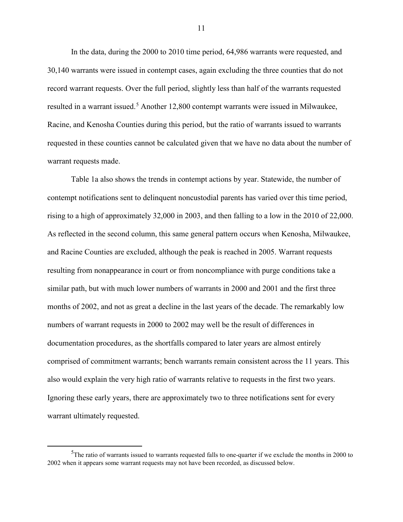In the data, during the 2000 to 2010 time period, 64,986 warrants were requested, and 30,140 warrants were issued in contempt cases, again excluding the three counties that do not record warrant requests. Over the full period, slightly less than half of the warrants requested resulted in a warrant issued.<sup>[5](#page-11-0)</sup> Another 12,800 contempt warrants were issued in Milwaukee, Racine, and Kenosha Counties during this period, but the ratio of warrants issued to warrants requested in these counties cannot be calculated given that we have no data about the number of warrant requests made.

Table 1a also shows the trends in contempt actions by year. Statewide, the number of contempt notifications sent to delinquent noncustodial parents has varied over this time period, rising to a high of approximately 32,000 in 2003, and then falling to a low in the 2010 of 22,000. As reflected in the second column, this same general pattern occurs when Kenosha, Milwaukee, and Racine Counties are excluded, although the peak is reached in 2005. Warrant requests resulting from nonappearance in court or from noncompliance with purge conditions take a similar path, but with much lower numbers of warrants in 2000 and 2001 and the first three months of 2002, and not as great a decline in the last years of the decade. The remarkably low numbers of warrant requests in 2000 to 2002 may well be the result of differences in documentation procedures, as the shortfalls compared to later years are almost entirely comprised of commitment warrants; bench warrants remain consistent across the 11 years. This also would explain the very high ratio of warrants relative to requests in the first two years. Ignoring these early years, there are approximately two to three notifications sent for every warrant ultimately requested.

<span id="page-11-0"></span> $\frac{1}{5}$  $5$ The ratio of warrants issued to warrants requested falls to one-quarter if we exclude the months in 2000 to 2002 when it appears some warrant requests may not have been recorded, as discussed below.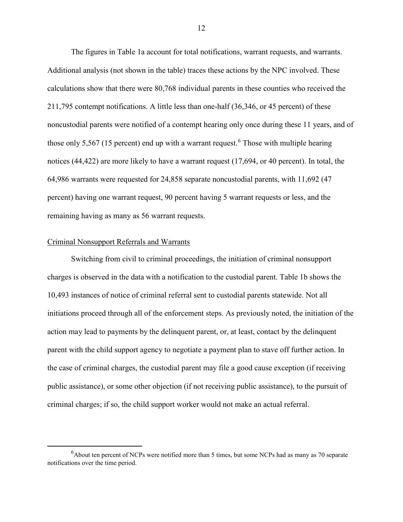The figures in Table 1a account for total notifications, warrant requests, and warrants. Additional analysis (not shown in the table) traces these actions by the NPC involved. These calculations show that there were 80,768 individual parents in these counties who received the 211,795 contempt notifications. A little less than one-half (36,346, or 45 percent) of these noncustodial parents were notified of a contempt hearing only once during these 11 years, and of those only 5,5[6](#page-12-0)7 (15 percent) end up with a warrant request.<sup>6</sup> Those with multiple hearing notices (44,422) are more likely to have a warrant request (17,694, or 40 percent). In total, the 64,986 warrants were requested for 24,858 separate noncustodial parents, with 11,692 (47 percent) having one warrant request, 90 percent having 5 warrant requests or less, and the remaining having as many as 56 warrant requests.

# Criminal Nonsupport Referrals and Warrants

Switching from civil to criminal proceedings, the initiation of criminal nonsupport charges is observed in the data with a notification to the custodial parent. Table 1b shows the 10,493 instances of notice of criminal referral sent to custodial parents statewide. Not all initiations proceed through all of the enforcement steps. As previously noted, the initiation of the action may lead to payments by the delinquent parent, or, at least, contact by the delinquent parent with the child support agency to negotiate a payment plan to stave off further action. In the case of criminal charges, the custodial parent may file a good cause exception (if receiving public assistance), or some other objection (if not receiving public assistance), to the pursuit of criminal charges; if so, the child support worker would not make an actual referral.

<span id="page-12-0"></span> $\overline{\phantom{0}}$  $6$ About ten percent of NCPs were notified more than 5 times, but some NCPs had as many as 70 separate notifications over the time period.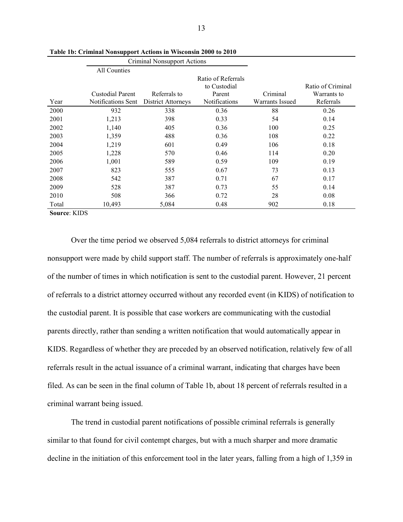|                |                           | Criminal Nonsupport Actions |                                              |                        |                                  |
|----------------|---------------------------|-----------------------------|----------------------------------------------|------------------------|----------------------------------|
|                | All Counties              |                             |                                              |                        |                                  |
|                | <b>Custodial Parent</b>   | Referrals to                | Ratio of Referrals<br>to Custodial<br>Parent | Criminal               | Ratio of Criminal<br>Warrants to |
| Year           | <b>Notifications Sent</b> | <b>District Attorneys</b>   | Notifications                                | <b>Warrants Issued</b> | Referrals                        |
| 2000           | 932                       | 338                         | 0.36                                         | 88                     | 0.26                             |
| 2001           | 1,213                     | 398                         | 0.33                                         | 54                     | 0.14                             |
| 2002           | 1,140                     | 405                         | 0.36                                         | 100                    | 0.25                             |
| 2003           | 1,359                     | 488                         | 0.36                                         | 108                    | 0.22                             |
| 2004           | 1,219                     | 601                         | 0.49                                         | 106                    | 0.18                             |
| 2005           | 1,228                     | 570                         | 0.46                                         | 114                    | 0.20                             |
| 2006           | 1,001                     | 589                         | 0.59                                         | 109                    | 0.19                             |
| 2007           | 823                       | 555                         | 0.67                                         | 73                     | 0.13                             |
| 2008           | 542                       | 387                         | 0.71                                         | 67                     | 0.17                             |
| 2009           | 528                       | 387                         | 0.73                                         | 55                     | 0.14                             |
| 2010           | 508                       | 366                         | 0.72                                         | 28                     | 0.08                             |
| Total          | 10,493                    | 5,084                       | 0.48                                         | 902                    | 0.18                             |
| $Source'$ KIDS |                           |                             |                                              |                        |                                  |

**Table 1b: Criminal Nonsupport Actions in Wisconsin 2000 to 2010**

Over the time period we observed 5,084 referrals to district attorneys for criminal nonsupport were made by child support staff. The number of referrals is approximately one-half of the number of times in which notification is sent to the custodial parent. However, 21 percent of referrals to a district attorney occurred without any recorded event (in KIDS) of notification to the custodial parent. It is possible that case workers are communicating with the custodial parents directly, rather than sending a written notification that would automatically appear in KIDS. Regardless of whether they are preceded by an observed notification, relatively few of all referrals result in the actual issuance of a criminal warrant, indicating that charges have been filed. As can be seen in the final column of Table 1b, about 18 percent of referrals resulted in a criminal warrant being issued.

The trend in custodial parent notifications of possible criminal referrals is generally similar to that found for civil contempt charges, but with a much sharper and more dramatic decline in the initiation of this enforcement tool in the later years, falling from a high of 1,359 in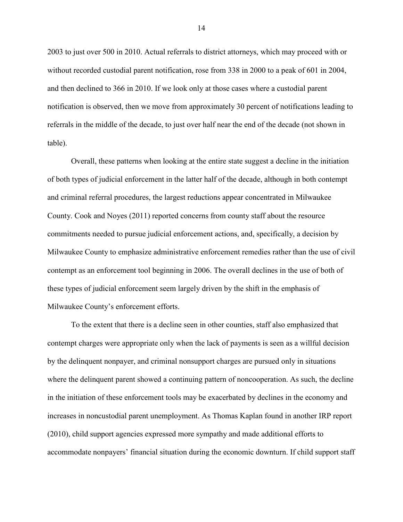2003 to just over 500 in 2010. Actual referrals to district attorneys, which may proceed with or without recorded custodial parent notification, rose from 338 in 2000 to a peak of 601 in 2004, and then declined to 366 in 2010. If we look only at those cases where a custodial parent notification is observed, then we move from approximately 30 percent of notifications leading to referrals in the middle of the decade, to just over half near the end of the decade (not shown in table).

Overall, these patterns when looking at the entire state suggest a decline in the initiation of both types of judicial enforcement in the latter half of the decade, although in both contempt and criminal referral procedures, the largest reductions appear concentrated in Milwaukee County. Cook and Noyes (2011) reported concerns from county staff about the resource commitments needed to pursue judicial enforcement actions, and, specifically, a decision by Milwaukee County to emphasize administrative enforcement remedies rather than the use of civil contempt as an enforcement tool beginning in 2006. The overall declines in the use of both of these types of judicial enforcement seem largely driven by the shift in the emphasis of Milwaukee County's enforcement efforts.

To the extent that there is a decline seen in other counties, staff also emphasized that contempt charges were appropriate only when the lack of payments is seen as a willful decision by the delinquent nonpayer, and criminal nonsupport charges are pursued only in situations where the delinquent parent showed a continuing pattern of noncooperation. As such, the decline in the initiation of these enforcement tools may be exacerbated by declines in the economy and increases in noncustodial parent unemployment. As Thomas Kaplan found in another IRP report (2010), child support agencies expressed more sympathy and made additional efforts to accommodate nonpayers' financial situation during the economic downturn. If child support staff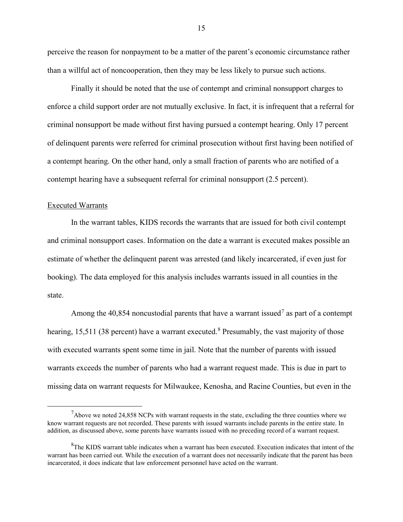perceive the reason for nonpayment to be a matter of the parent's economic circumstance rather than a willful act of noncooperation, then they may be less likely to pursue such actions.

Finally it should be noted that the use of contempt and criminal nonsupport charges to enforce a child support order are not mutually exclusive. In fact, it is infrequent that a referral for criminal nonsupport be made without first having pursued a contempt hearing. Only 17 percent of delinquent parents were referred for criminal prosecution without first having been notified of a contempt hearing. On the other hand, only a small fraction of parents who are notified of a contempt hearing have a subsequent referral for criminal nonsupport (2.5 percent).

#### Executed Warrants

In the warrant tables, KIDS records the warrants that are issued for both civil contempt and criminal nonsupport cases. Information on the date a warrant is executed makes possible an estimate of whether the delinquent parent was arrested (and likely incarcerated, if even just for booking). The data employed for this analysis includes warrants issued in all counties in the state.

Among the 40,854 noncustodial parents that have a warrant issued<sup>[7](#page-15-0)</sup> as part of a contempt hearing, 15,511 (3[8](#page-15-1) percent) have a warrant executed.<sup>8</sup> Presumably, the vast majority of those with executed warrants spent some time in jail. Note that the number of parents with issued warrants exceeds the number of parents who had a warrant request made. This is due in part to missing data on warrant requests for Milwaukee, Kenosha, and Racine Counties, but even in the

<span id="page-15-0"></span> $\overline{7}$  $<sup>7</sup>$ Above we noted 24,858 NCPs with warrant requests in the state, excluding the three counties where we</sup> know warrant requests are not recorded. These parents with issued warrants include parents in the entire state. In addition, as discussed above, some parents have warrants issued with no preceding record of a warrant request.

<span id="page-15-1"></span><sup>&</sup>lt;sup>8</sup>The KIDS warrant table indicates when a warrant has been executed. Execution indicates that intent of the warrant has been carried out. While the execution of a warrant does not necessarily indicate that the parent has been incarcerated, it does indicate that law enforcement personnel have acted on the warrant.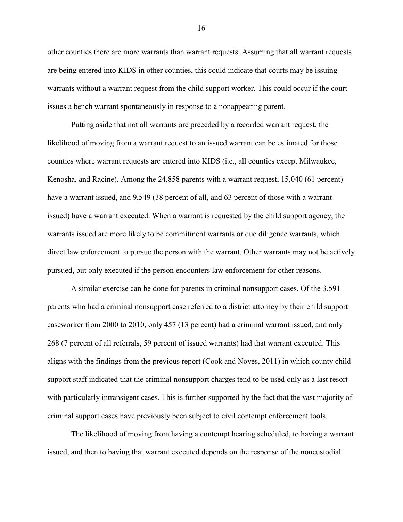other counties there are more warrants than warrant requests. Assuming that all warrant requests are being entered into KIDS in other counties, this could indicate that courts may be issuing warrants without a warrant request from the child support worker. This could occur if the court issues a bench warrant spontaneously in response to a nonappearing parent.

Putting aside that not all warrants are preceded by a recorded warrant request, the likelihood of moving from a warrant request to an issued warrant can be estimated for those counties where warrant requests are entered into KIDS (i.e., all counties except Milwaukee, Kenosha, and Racine). Among the 24,858 parents with a warrant request, 15,040 (61 percent) have a warrant issued, and 9,549 (38 percent of all, and 63 percent of those with a warrant issued) have a warrant executed. When a warrant is requested by the child support agency, the warrants issued are more likely to be commitment warrants or due diligence warrants, which direct law enforcement to pursue the person with the warrant. Other warrants may not be actively pursued, but only executed if the person encounters law enforcement for other reasons.

A similar exercise can be done for parents in criminal nonsupport cases. Of the 3,591 parents who had a criminal nonsupport case referred to a district attorney by their child support caseworker from 2000 to 2010, only 457 (13 percent) had a criminal warrant issued, and only 268 (7 percent of all referrals, 59 percent of issued warrants) had that warrant executed. This aligns with the findings from the previous report (Cook and Noyes, 2011) in which county child support staff indicated that the criminal nonsupport charges tend to be used only as a last resort with particularly intransigent cases. This is further supported by the fact that the vast majority of criminal support cases have previously been subject to civil contempt enforcement tools.

The likelihood of moving from having a contempt hearing scheduled, to having a warrant issued, and then to having that warrant executed depends on the response of the noncustodial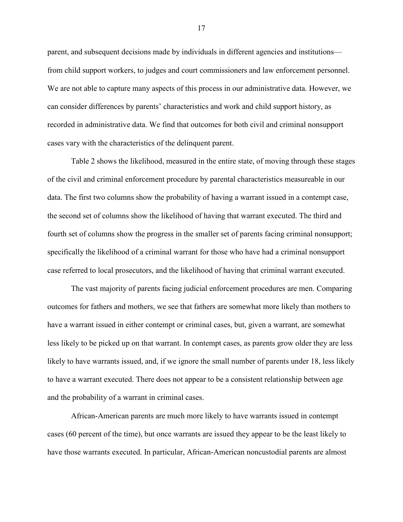parent, and subsequent decisions made by individuals in different agencies and institutions from child support workers, to judges and court commissioners and law enforcement personnel. We are not able to capture many aspects of this process in our administrative data. However, we can consider differences by parents' characteristics and work and child support history, as recorded in administrative data. We find that outcomes for both civil and criminal nonsupport cases vary with the characteristics of the delinquent parent.

Table 2 shows the likelihood, measured in the entire state, of moving through these stages of the civil and criminal enforcement procedure by parental characteristics measureable in our data. The first two columns show the probability of having a warrant issued in a contempt case, the second set of columns show the likelihood of having that warrant executed. The third and fourth set of columns show the progress in the smaller set of parents facing criminal nonsupport; specifically the likelihood of a criminal warrant for those who have had a criminal nonsupport case referred to local prosecutors, and the likelihood of having that criminal warrant executed.

The vast majority of parents facing judicial enforcement procedures are men. Comparing outcomes for fathers and mothers, we see that fathers are somewhat more likely than mothers to have a warrant issued in either contempt or criminal cases, but, given a warrant, are somewhat less likely to be picked up on that warrant. In contempt cases, as parents grow older they are less likely to have warrants issued, and, if we ignore the small number of parents under 18, less likely to have a warrant executed. There does not appear to be a consistent relationship between age and the probability of a warrant in criminal cases.

African-American parents are much more likely to have warrants issued in contempt cases (60 percent of the time), but once warrants are issued they appear to be the least likely to have those warrants executed. In particular, African-American noncustodial parents are almost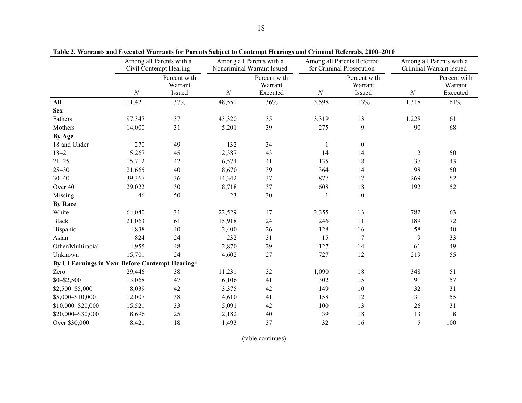|                                                 |          | Among all Parents with a<br>Civil Contempt Hearing |          | Among all Parents with a<br>Noncriminal Warrant Issued |              | Among all Parents Referred<br>for Criminal Prosecution |                | Among all Parents with a<br>Criminal Warrant Issued |
|-------------------------------------------------|----------|----------------------------------------------------|----------|--------------------------------------------------------|--------------|--------------------------------------------------------|----------------|-----------------------------------------------------|
|                                                 | $\cal N$ | Percent with<br>Warrant<br>Issued                  | $\cal N$ | Percent with<br>Warrant<br>Executed                    | $\cal N$     | Percent with<br>Warrant<br>Issued                      | $\cal N$       | Percent with<br>Warrant<br>Executed                 |
| All                                             | 111,421  | 37%                                                | 48,551   | 36%                                                    | 3,598        | 13%                                                    | 1,318          | 61%                                                 |
| <b>Sex</b>                                      |          |                                                    |          |                                                        |              |                                                        |                |                                                     |
| Fathers                                         | 97,347   | 37                                                 | 43,320   | 35                                                     | 3,319        | 13                                                     | 1,228          | 61                                                  |
| Mothers                                         | 14,000   | 31                                                 | 5,201    | 39                                                     | 275          | $\boldsymbol{9}$                                       | 90             | 68                                                  |
| By Age                                          |          |                                                    |          |                                                        |              |                                                        |                |                                                     |
| 18 and Under                                    | 270      | 49                                                 | 132      | 34                                                     | $\mathbf{1}$ | $\boldsymbol{0}$                                       |                |                                                     |
| $18 - 21$                                       | 5,267    | 45                                                 | 2,387    | 43                                                     | 14           | 14                                                     | $\overline{2}$ | 50                                                  |
| $21 - 25$                                       | 15,712   | 42                                                 | 6,574    | 41                                                     | 135          | 18                                                     | 37             | 43                                                  |
| $25 - 30$                                       | 21,665   | 40                                                 | 8,670    | 39                                                     | 364          | 14                                                     | 98             | 50                                                  |
| $30 - 40$                                       | 39,367   | 36                                                 | 14,342   | 37                                                     | 877          | 17                                                     | 269            | 52                                                  |
| Over 40                                         | 29,022   | $30\,$                                             | 8,718    | 37                                                     | 608          | $18\,$                                                 | 192            | 52                                                  |
| Missing                                         | 46       | 50                                                 | 23       | 30                                                     |              | $\boldsymbol{0}$                                       |                |                                                     |
| <b>By Race</b>                                  |          |                                                    |          |                                                        |              |                                                        |                |                                                     |
| White                                           | 64,040   | 31                                                 | 22,529   | 47                                                     | 2,355        | 13                                                     | 782            | 63                                                  |
| <b>Black</b>                                    | 21,063   | 61                                                 | 15,918   | 24                                                     | 246          | 11                                                     | 189            | 72                                                  |
| Hispanic                                        | 4,838    | $40\,$                                             | 2,400    | 26                                                     | 128          | 16                                                     | 58             | 40                                                  |
| Asian                                           | 824      | 24                                                 | 232      | 31                                                     | 15           | 7                                                      | 9              | 33                                                  |
| Other/Multiracial                               | 4,955    | 48                                                 | 2,870    | 29                                                     | 127          | 14                                                     | 61             | 49                                                  |
| Unknown                                         | 15,701   | 24                                                 | 4,602    | 27                                                     | 727          | 12                                                     | 219            | 55                                                  |
| By UI Earnings in Year Before Contempt Hearing* |          |                                                    |          |                                                        |              |                                                        |                |                                                     |
| Zero                                            | 29,446   | 38                                                 | 11,231   | 32                                                     | 1,090        | 18                                                     | 348            | 51                                                  |
| $$0 - $2,500$                                   | 13,068   | 47                                                 | 6,106    | 41                                                     | 302          | 15                                                     | 91             | 57                                                  |
| $$2,500 - $5,000$                               | 8,039    | 42                                                 | 3,375    | 42                                                     | 149          | $10\,$                                                 | 32             | 31                                                  |
| \$5,000-\$10,000                                | 12,007   | 38                                                 | 4,610    | 41                                                     | 158          | 12                                                     | 31             | 55                                                  |
| \$10,000-\$20,000                               | 15,521   | 33                                                 | 5,091    | 42                                                     | 100          | 13                                                     | 26             | 31                                                  |
| \$20,000-\$30,000                               | 8,696    | 25                                                 | 2,182    | 40                                                     | 39           | $18\,$                                                 | 13             | $\,$ 8 $\,$                                         |
| Over \$30,000                                   | 8,421    | 18                                                 | 1,493    | 37                                                     | 32           | 16                                                     | 5              | 100                                                 |

**Table 2. Warrants and Executed Warrants for Parents Subject to Contempt Hearings and Criminal Referrals, 2000–2010**

(table continues)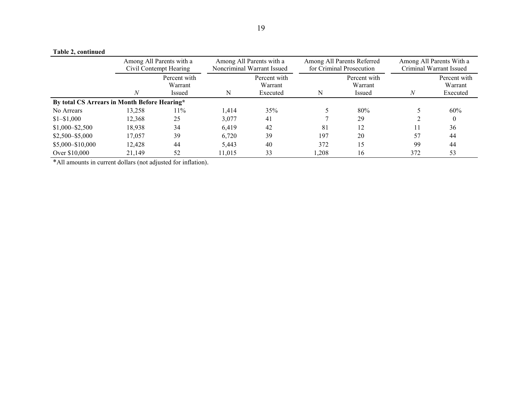# **Table 2, continued**

|                                              | Among All Parents with a<br>Civil Contempt Hearing |                                   | Among All Parents with a<br>Noncriminal Warrant Issued |                                     |      | Among All Parents Referred<br>for Criminal Prosecution | Among All Parents With a<br>Criminal Warrant Issued |                                     |
|----------------------------------------------|----------------------------------------------------|-----------------------------------|--------------------------------------------------------|-------------------------------------|------|--------------------------------------------------------|-----------------------------------------------------|-------------------------------------|
|                                              |                                                    | Percent with<br>Warrant<br>Issued | N                                                      | Percent with<br>Warrant<br>Executed | N    | Percent with<br>Warrant<br>Issued                      | $\boldsymbol{N}$                                    | Percent with<br>Warrant<br>Executed |
| By total CS Arrears in Month Before Hearing* |                                                    |                                   |                                                        |                                     |      |                                                        |                                                     |                                     |
| No Arrears                                   | 13,258                                             | 11%                               | 1.414                                                  | 35%                                 |      | 80%                                                    |                                                     | 60%                                 |
| $$1 - $1,000$                                | 12,368                                             | 25                                | 3,077                                                  | 41                                  |      | 29                                                     |                                                     |                                     |
| $$1,000 - $2,500$                            | 18,938                                             | 34                                | 6,419                                                  | 42                                  | 81   | 12                                                     | 11                                                  | 36                                  |
| $$2,500 - $5,000$                            | 17,057                                             | 39                                | 6,720                                                  | 39                                  | 197  | 20                                                     | 57                                                  | 44                                  |
| $$5,000 - $10,000$                           | 12,428                                             | 44                                | 5,443                                                  | 40                                  | 372  | 15                                                     | 99                                                  | 44                                  |
| Over \$10,000                                | 21,149                                             | 52                                | 11.015                                                 | 33                                  | .208 | 16                                                     | 372                                                 | 53                                  |

\*All amounts in current dollars (not adjusted for inflation).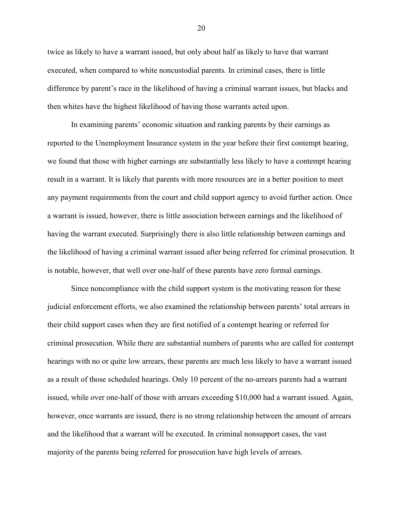twice as likely to have a warrant issued, but only about half as likely to have that warrant executed, when compared to white noncustodial parents. In criminal cases, there is little difference by parent's race in the likelihood of having a criminal warrant issues, but blacks and then whites have the highest likelihood of having those warrants acted upon.

In examining parents' economic situation and ranking parents by their earnings as reported to the Unemployment Insurance system in the year before their first contempt hearing, we found that those with higher earnings are substantially less likely to have a contempt hearing result in a warrant. It is likely that parents with more resources are in a better position to meet any payment requirements from the court and child support agency to avoid further action. Once a warrant is issued, however, there is little association between earnings and the likelihood of having the warrant executed. Surprisingly there is also little relationship between earnings and the likelihood of having a criminal warrant issued after being referred for criminal prosecution. It is notable, however, that well over one-half of these parents have zero formal earnings.

Since noncompliance with the child support system is the motivating reason for these judicial enforcement efforts, we also examined the relationship between parents' total arrears in their child support cases when they are first notified of a contempt hearing or referred for criminal prosecution. While there are substantial numbers of parents who are called for contempt hearings with no or quite low arrears, these parents are much less likely to have a warrant issued as a result of those scheduled hearings. Only 10 percent of the no-arrears parents had a warrant issued, while over one-half of those with arrears exceeding \$10,000 had a warrant issued. Again, however, once warrants are issued, there is no strong relationship between the amount of arrears and the likelihood that a warrant will be executed. In criminal nonsupport cases, the vast majority of the parents being referred for prosecution have high levels of arrears.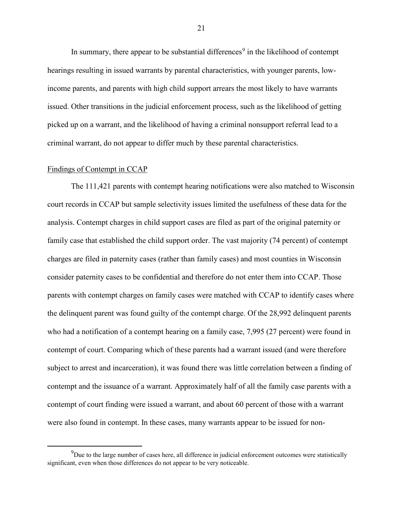In summary, there appear to be substantial differences<sup>[9](#page-21-0)</sup> in the likelihood of contempt hearings resulting in issued warrants by parental characteristics, with younger parents, lowincome parents, and parents with high child support arrears the most likely to have warrants issued. Other transitions in the judicial enforcement process, such as the likelihood of getting picked up on a warrant, and the likelihood of having a criminal nonsupport referral lead to a criminal warrant, do not appear to differ much by these parental characteristics.

#### Findings of Contempt in CCAP

The 111,421 parents with contempt hearing notifications were also matched to Wisconsin court records in CCAP but sample selectivity issues limited the usefulness of these data for the analysis. Contempt charges in child support cases are filed as part of the original paternity or family case that established the child support order. The vast majority (74 percent) of contempt charges are filed in paternity cases (rather than family cases) and most counties in Wisconsin consider paternity cases to be confidential and therefore do not enter them into CCAP. Those parents with contempt charges on family cases were matched with CCAP to identify cases where the delinquent parent was found guilty of the contempt charge. Of the 28,992 delinquent parents who had a notification of a contempt hearing on a family case, 7,995 (27 percent) were found in contempt of court. Comparing which of these parents had a warrant issued (and were therefore subject to arrest and incarceration), it was found there was little correlation between a finding of contempt and the issuance of a warrant. Approximately half of all the family case parents with a contempt of court finding were issued a warrant, and about 60 percent of those with a warrant were also found in contempt. In these cases, many warrants appear to be issued for non-

<span id="page-21-0"></span> <sup>9</sup>  $9D$  Due to the large number of cases here, all difference in judicial enforcement outcomes were statistically significant, even when those differences do not appear to be very noticeable.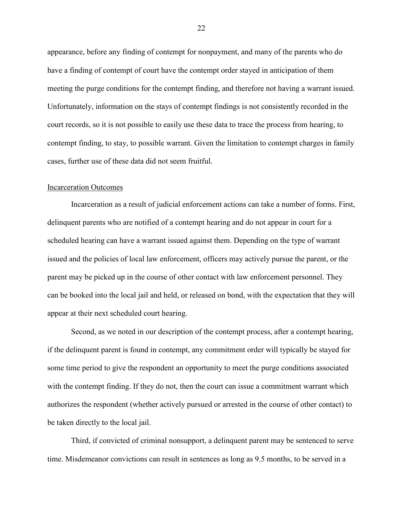appearance, before any finding of contempt for nonpayment, and many of the parents who do have a finding of contempt of court have the contempt order stayed in anticipation of them meeting the purge conditions for the contempt finding, and therefore not having a warrant issued. Unfortunately, information on the stays of contempt findings is not consistently recorded in the court records, so it is not possible to easily use these data to trace the process from hearing, to contempt finding, to stay, to possible warrant. Given the limitation to contempt charges in family cases, further use of these data did not seem fruitful.

#### Incarceration Outcomes

Incarceration as a result of judicial enforcement actions can take a number of forms. First, delinquent parents who are notified of a contempt hearing and do not appear in court for a scheduled hearing can have a warrant issued against them. Depending on the type of warrant issued and the policies of local law enforcement, officers may actively pursue the parent, or the parent may be picked up in the course of other contact with law enforcement personnel. They can be booked into the local jail and held, or released on bond, with the expectation that they will appear at their next scheduled court hearing.

Second, as we noted in our description of the contempt process, after a contempt hearing, if the delinquent parent is found in contempt, any commitment order will typically be stayed for some time period to give the respondent an opportunity to meet the purge conditions associated with the contempt finding. If they do not, then the court can issue a commitment warrant which authorizes the respondent (whether actively pursued or arrested in the course of other contact) to be taken directly to the local jail.

Third, if convicted of criminal nonsupport, a delinquent parent may be sentenced to serve time. Misdemeanor convictions can result in sentences as long as 9.5 months, to be served in a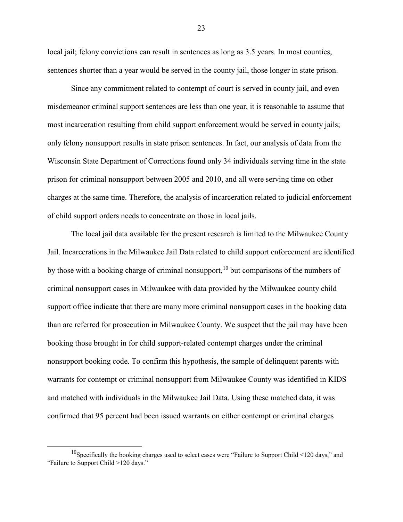local jail; felony convictions can result in sentences as long as 3.5 years. In most counties, sentences shorter than a year would be served in the county jail, those longer in state prison.

Since any commitment related to contempt of court is served in county jail, and even misdemeanor criminal support sentences are less than one year, it is reasonable to assume that most incarceration resulting from child support enforcement would be served in county jails; only felony nonsupport results in state prison sentences. In fact, our analysis of data from the Wisconsin State Department of Corrections found only 34 individuals serving time in the state prison for criminal nonsupport between 2005 and 2010, and all were serving time on other charges at the same time. Therefore, the analysis of incarceration related to judicial enforcement of child support orders needs to concentrate on those in local jails.

The local jail data available for the present research is limited to the Milwaukee County Jail. Incarcerations in the Milwaukee Jail Data related to child support enforcement are identified by those with a booking charge of criminal nonsupport,<sup>[10](#page-23-0)</sup> but comparisons of the numbers of criminal nonsupport cases in Milwaukee with data provided by the Milwaukee county child support office indicate that there are many more criminal nonsupport cases in the booking data than are referred for prosecution in Milwaukee County. We suspect that the jail may have been booking those brought in for child support-related contempt charges under the criminal nonsupport booking code. To confirm this hypothesis, the sample of delinquent parents with warrants for contempt or criminal nonsupport from Milwaukee County was identified in KIDS and matched with individuals in the Milwaukee Jail Data. Using these matched data, it was confirmed that 95 percent had been issued warrants on either contempt or criminal charges

<span id="page-23-0"></span><sup>&</sup>lt;sup>10</sup>Specifically the booking charges used to select cases were "Failure to Support Child <120 days," and "Failure to Support Child >120 days."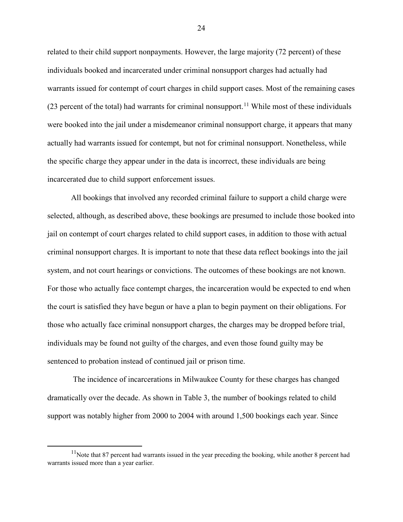related to their child support nonpayments. However, the large majority (72 percent) of these individuals booked and incarcerated under criminal nonsupport charges had actually had warrants issued for contempt of court charges in child support cases. Most of the remaining cases (23 percent of the total) had warrants for criminal nonsupport.<sup>[11](#page-24-0)</sup> While most of these individuals were booked into the jail under a misdemeanor criminal nonsupport charge, it appears that many actually had warrants issued for contempt, but not for criminal nonsupport. Nonetheless, while the specific charge they appear under in the data is incorrect, these individuals are being incarcerated due to child support enforcement issues.

All bookings that involved any recorded criminal failure to support a child charge were selected, although, as described above, these bookings are presumed to include those booked into jail on contempt of court charges related to child support cases, in addition to those with actual criminal nonsupport charges. It is important to note that these data reflect bookings into the jail system, and not court hearings or convictions. The outcomes of these bookings are not known. For those who actually face contempt charges, the incarceration would be expected to end when the court is satisfied they have begun or have a plan to begin payment on their obligations. For those who actually face criminal nonsupport charges, the charges may be dropped before trial, individuals may be found not guilty of the charges, and even those found guilty may be sentenced to probation instead of continued jail or prison time.

The incidence of incarcerations in Milwaukee County for these charges has changed dramatically over the decade. As shown in Table 3, the number of bookings related to child support was notably higher from 2000 to 2004 with around 1,500 bookings each year. Since

<span id="page-24-0"></span><sup>&</sup>lt;sup>11</sup>Note that 87 percent had warrants issued in the year preceding the booking, while another 8 percent had warrants issued more than a year earlier.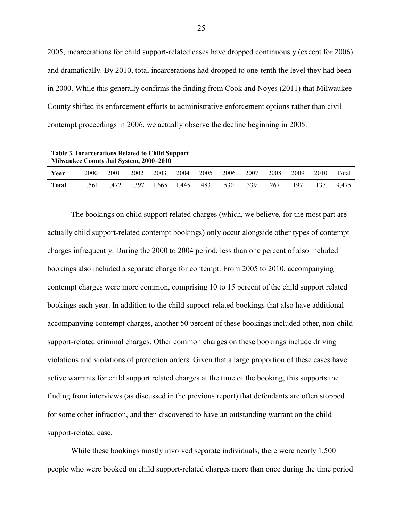2005, incarcerations for child support-related cases have dropped continuously (except for 2006) and dramatically. By 2010, total incarcerations had dropped to one-tenth the level they had been in 2000. While this generally confirms the finding from Cook and Noyes (2011) that Milwaukee County shifted its enforcement efforts to administrative enforcement options rather than civil contempt proceedings in 2006, we actually observe the decline beginning in 2005.

**Table 3. Incarcerations Related to Child Support Milwaukee County Jail System, 2000–2010**

| Year         | 2000 | 2001                          | 2002 | 2003 | 2004 | 2005 | 2006 | 2007 | 2008 | 2009 | 2010 | Total |
|--------------|------|-------------------------------|------|------|------|------|------|------|------|------|------|-------|
| <b>Total</b> |      | 1,561 1,472 1,397 1,665 1,445 |      |      |      | 483  | 530  | 339  | 267  | 197  | 137  | 9.475 |

The bookings on child support related charges (which, we believe, for the most part are actually child support-related contempt bookings) only occur alongside other types of contempt charges infrequently. During the 2000 to 2004 period, less than one percent of also included bookings also included a separate charge for contempt. From 2005 to 2010, accompanying contempt charges were more common, comprising 10 to 15 percent of the child support related bookings each year. In addition to the child support-related bookings that also have additional accompanying contempt charges, another 50 percent of these bookings included other, non-child support-related criminal charges. Other common charges on these bookings include driving violations and violations of protection orders. Given that a large proportion of these cases have active warrants for child support related charges at the time of the booking, this supports the finding from interviews (as discussed in the previous report) that defendants are often stopped for some other infraction, and then discovered to have an outstanding warrant on the child support-related case.

While these bookings mostly involved separate individuals, there were nearly 1,500 people who were booked on child support-related charges more than once during the time period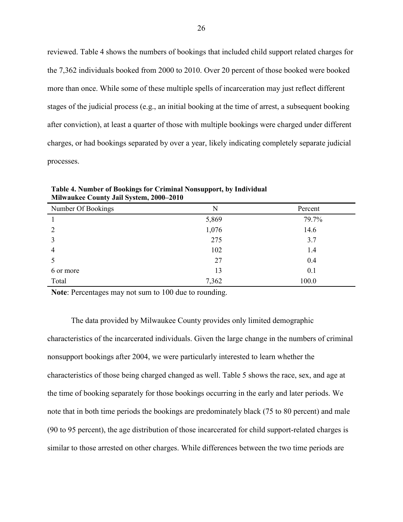reviewed. Table 4 shows the numbers of bookings that included child support related charges for the 7,362 individuals booked from 2000 to 2010. Over 20 percent of those booked were booked more than once. While some of these multiple spells of incarceration may just reflect different stages of the judicial process (e.g., an initial booking at the time of arrest, a subsequent booking after conviction), at least a quarter of those with multiple bookings were charged under different charges, or had bookings separated by over a year, likely indicating completely separate judicial processes.

| Number Of Bookings | N     | Percent |
|--------------------|-------|---------|
|                    | 5,869 | 79.7%   |
| 2                  | 1,076 | 14.6    |
| 3                  | 275   | 3.7     |
| $\overline{4}$     | 102   | 1.4     |
|                    | 27    | 0.4     |
| 6 or more          | 13    | 0.1     |
| Total              | 7,362 | 100.0   |

**Table 4. Number of Bookings for Criminal Nonsupport, by Individual Milwaukee County Jail System, 2000–2010**

**Note**: Percentages may not sum to 100 due to rounding.

The data provided by Milwaukee County provides only limited demographic characteristics of the incarcerated individuals. Given the large change in the numbers of criminal nonsupport bookings after 2004, we were particularly interested to learn whether the characteristics of those being charged changed as well. Table 5 shows the race, sex, and age at the time of booking separately for those bookings occurring in the early and later periods. We note that in both time periods the bookings are predominately black (75 to 80 percent) and male (90 to 95 percent), the age distribution of those incarcerated for child support-related charges is similar to those arrested on other charges. While differences between the two time periods are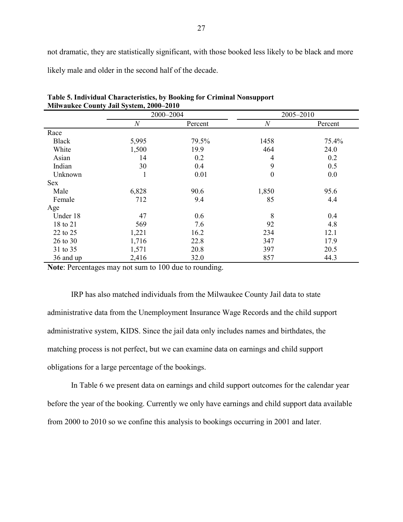not dramatic, they are statistically significant, with those booked less likely to be black and more

likely male and older in the second half of the decade.

| <b>MINAGURE COUNTY JAN DYSICIN, 2000–2010</b> |       |           |                  |           |  |  |  |
|-----------------------------------------------|-------|-----------|------------------|-----------|--|--|--|
|                                               |       | 2000-2004 |                  | 2005-2010 |  |  |  |
|                                               | N     | Percent   | $\boldsymbol{N}$ | Percent   |  |  |  |
| Race                                          |       |           |                  |           |  |  |  |
| <b>Black</b>                                  | 5,995 | 79.5%     | 1458             | 75.4%     |  |  |  |
| White                                         | 1,500 | 19.9      | 464              | 24.0      |  |  |  |
| Asian                                         | 14    | 0.2       | 4                | 0.2       |  |  |  |
| Indian                                        | 30    | 0.4       | 9                | 0.5       |  |  |  |
| Unknown                                       |       | 0.01      | $\boldsymbol{0}$ | 0.0       |  |  |  |
| Sex                                           |       |           |                  |           |  |  |  |
| Male                                          | 6,828 | 90.6      | 1,850            | 95.6      |  |  |  |
| Female                                        | 712   | 9.4       | 85               | 4.4       |  |  |  |
| Age                                           |       |           |                  |           |  |  |  |
| Under 18                                      | 47    | 0.6       | 8                | 0.4       |  |  |  |
| 18 to 21                                      | 569   | 7.6       | 92               | 4.8       |  |  |  |
| 22 to 25                                      | 1,221 | 16.2      | 234              | 12.1      |  |  |  |
| 26 to 30                                      | 1,716 | 22.8      | 347              | 17.9      |  |  |  |
| 31 to 35                                      | 1,571 | 20.8      | 397              | 20.5      |  |  |  |
| 36 and up                                     | 2,416 | 32.0      | 857              | 44.3      |  |  |  |

**Table 5. Individual Characteristics, by Booking for Criminal Nonsupport Milwaukee County Jail System, 2000–2010**

**Note**: Percentages may not sum to 100 due to rounding.

IRP has also matched individuals from the Milwaukee County Jail data to state administrative data from the Unemployment Insurance Wage Records and the child support administrative system, KIDS. Since the jail data only includes names and birthdates, the matching process is not perfect, but we can examine data on earnings and child support obligations for a large percentage of the bookings.

In Table 6 we present data on earnings and child support outcomes for the calendar year before the year of the booking. Currently we only have earnings and child support data available from 2000 to 2010 so we confine this analysis to bookings occurring in 2001 and later.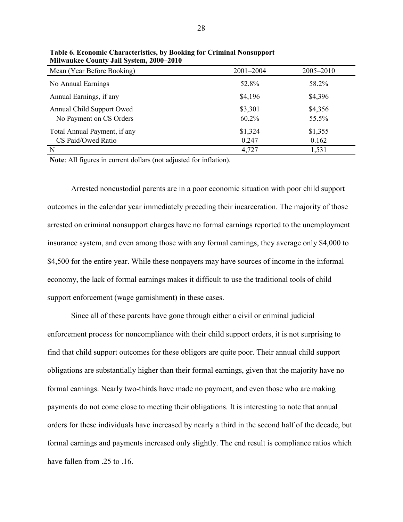| Mean (Year Before Booking)                           | 2001-2004           | 2005-2010        |
|------------------------------------------------------|---------------------|------------------|
| No Annual Earnings                                   | 52.8%               | 58.2%            |
| Annual Earnings, if any                              | \$4,196             | \$4,396          |
| Annual Child Support Owed<br>No Payment on CS Orders | \$3,301<br>$60.2\%$ | \$4,356<br>55.5% |
| Total Annual Payment, if any                         | \$1,324             | \$1,355          |
| CS Paid/Owed Ratio                                   | 0.247               | 0.162            |
| N                                                    | 4,727               | 1,531            |

**Table 6. Economic Characteristics, by Booking for Criminal Nonsupport Milwaukee County Jail System, 2000–2010**

**Note**: All figures in current dollars (not adjusted for inflation).

Arrested noncustodial parents are in a poor economic situation with poor child support outcomes in the calendar year immediately preceding their incarceration. The majority of those arrested on criminal nonsupport charges have no formal earnings reported to the unemployment insurance system, and even among those with any formal earnings, they average only \$4,000 to \$4,500 for the entire year. While these nonpayers may have sources of income in the informal economy, the lack of formal earnings makes it difficult to use the traditional tools of child support enforcement (wage garnishment) in these cases.

Since all of these parents have gone through either a civil or criminal judicial enforcement process for noncompliance with their child support orders, it is not surprising to find that child support outcomes for these obligors are quite poor. Their annual child support obligations are substantially higher than their formal earnings, given that the majority have no formal earnings. Nearly two-thirds have made no payment, and even those who are making payments do not come close to meeting their obligations. It is interesting to note that annual orders for these individuals have increased by nearly a third in the second half of the decade, but formal earnings and payments increased only slightly. The end result is compliance ratios which have fallen from .25 to .16.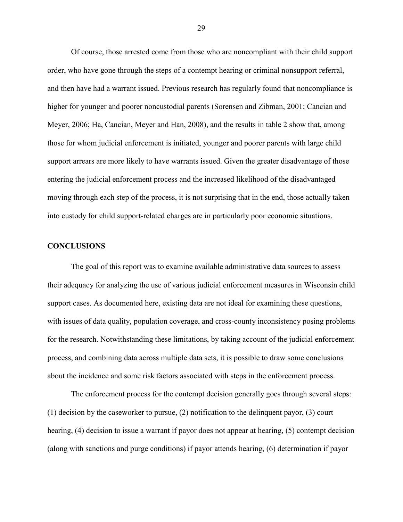Of course, those arrested come from those who are noncompliant with their child support order, who have gone through the steps of a contempt hearing or criminal nonsupport referral, and then have had a warrant issued. Previous research has regularly found that noncompliance is higher for younger and poorer noncustodial parents (Sorensen and Zibman, 2001; Cancian and Meyer, 2006; Ha, Cancian, Meyer and Han, 2008), and the results in table 2 show that, among those for whom judicial enforcement is initiated, younger and poorer parents with large child support arrears are more likely to have warrants issued. Given the greater disadvantage of those entering the judicial enforcement process and the increased likelihood of the disadvantaged moving through each step of the process, it is not surprising that in the end, those actually taken into custody for child support-related charges are in particularly poor economic situations.

#### **CONCLUSIONS**

The goal of this report was to examine available administrative data sources to assess their adequacy for analyzing the use of various judicial enforcement measures in Wisconsin child support cases. As documented here, existing data are not ideal for examining these questions, with issues of data quality, population coverage, and cross-county inconsistency posing problems for the research. Notwithstanding these limitations, by taking account of the judicial enforcement process, and combining data across multiple data sets, it is possible to draw some conclusions about the incidence and some risk factors associated with steps in the enforcement process.

The enforcement process for the contempt decision generally goes through several steps: (1) decision by the caseworker to pursue, (2) notification to the delinquent payor, (3) court hearing, (4) decision to issue a warrant if payor does not appear at hearing, (5) contempt decision (along with sanctions and purge conditions) if payor attends hearing, (6) determination if payor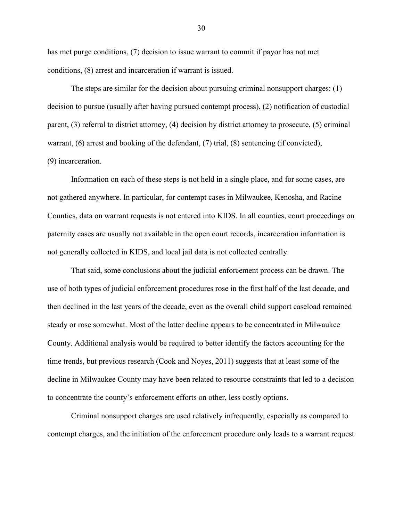has met purge conditions, (7) decision to issue warrant to commit if payor has not met conditions, (8) arrest and incarceration if warrant is issued.

The steps are similar for the decision about pursuing criminal nonsupport charges: (1) decision to pursue (usually after having pursued contempt process), (2) notification of custodial parent, (3) referral to district attorney, (4) decision by district attorney to prosecute, (5) criminal warrant, (6) arrest and booking of the defendant, (7) trial, (8) sentencing (if convicted), (9) incarceration.

Information on each of these steps is not held in a single place, and for some cases, are not gathered anywhere. In particular, for contempt cases in Milwaukee, Kenosha, and Racine Counties, data on warrant requests is not entered into KIDS. In all counties, court proceedings on paternity cases are usually not available in the open court records, incarceration information is not generally collected in KIDS, and local jail data is not collected centrally.

That said, some conclusions about the judicial enforcement process can be drawn. The use of both types of judicial enforcement procedures rose in the first half of the last decade, and then declined in the last years of the decade, even as the overall child support caseload remained steady or rose somewhat. Most of the latter decline appears to be concentrated in Milwaukee County. Additional analysis would be required to better identify the factors accounting for the time trends, but previous research (Cook and Noyes, 2011) suggests that at least some of the decline in Milwaukee County may have been related to resource constraints that led to a decision to concentrate the county's enforcement efforts on other, less costly options.

Criminal nonsupport charges are used relatively infrequently, especially as compared to contempt charges, and the initiation of the enforcement procedure only leads to a warrant request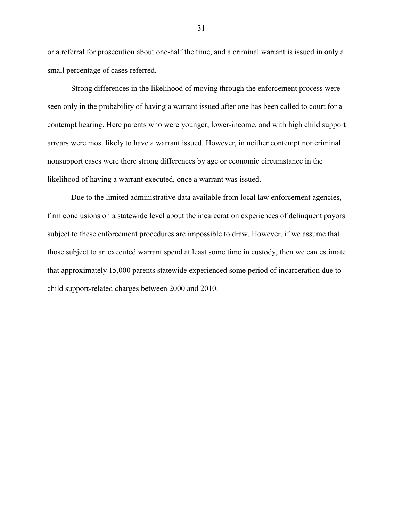or a referral for prosecution about one-half the time, and a criminal warrant is issued in only a small percentage of cases referred.

Strong differences in the likelihood of moving through the enforcement process were seen only in the probability of having a warrant issued after one has been called to court for a contempt hearing. Here parents who were younger, lower-income, and with high child support arrears were most likely to have a warrant issued. However, in neither contempt nor criminal nonsupport cases were there strong differences by age or economic circumstance in the likelihood of having a warrant executed, once a warrant was issued.

Due to the limited administrative data available from local law enforcement agencies, firm conclusions on a statewide level about the incarceration experiences of delinquent payors subject to these enforcement procedures are impossible to draw. However, if we assume that those subject to an executed warrant spend at least some time in custody, then we can estimate that approximately 15,000 parents statewide experienced some period of incarceration due to child support-related charges between 2000 and 2010.